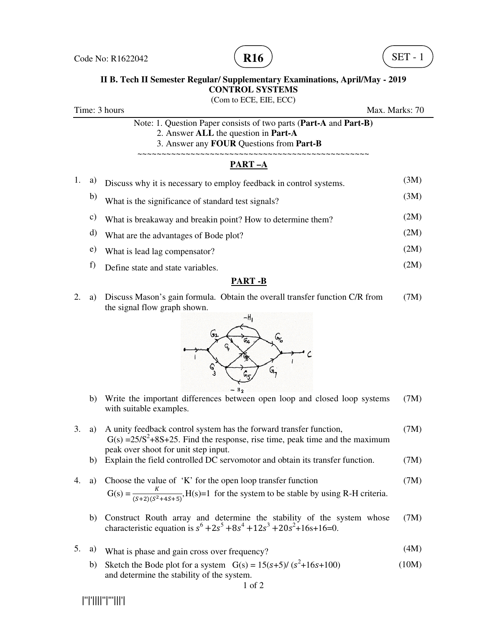



#### **II B. Tech II Semester Regular/ Supplementary Examinations, April/May - 2019 CONTROL SYSTEMS**

(Com to ECE, EIE, ECC) Time: 3 hours Max. Marks: 70 Note: 1. Question Paper consists of two parts (**Part-A** and **Part-B)** 2. Answer **ALL** the question in **Part-A** 3. Answer any **FOUR** Questions from **Part-B** ~~~~~~~~~~~~~~~~~~~~~~~~~~~~~~~~~~~~~~~~~~~~~~~~ **PART –A** 1. a) Discuss why it is necessary to employ feedback in control systems. (3M) b) What is the significance of standard test signals? (3M) c) What is breakaway and breakin point? How to determine them? (2M) d) What are the advantages of Bode plot? (2M) e) What is lead lag compensator? (2M) f) Define state and state variables. (2M)

#### **PART -B**

2. a) Discuss Mason's gain formula. Obtain the overall transfer function C/R from the signal flow graph shown. (7M)



- b) Write the important differences between open loop and closed loop systems with suitable examples. (7M)
- 3. a) A unity feedback control system has the forward transfer function,  $G(s) = 25/S^2 + 8S + 25$ . Find the response, rise time, peak time and the maximum peak over shoot for unit step input. (7M)
	- b) Explain the field controlled DC servomotor and obtain its transfer function. (7M)
- 4. a) Choose the value of 'K' for the open loop transfer function  $G(s) = \frac{K}{(s+2)(s^2+4s+5)}$ , H(s)=1 for the system to be stable by using R-H criteria. (7M)
- b) Construct Routh array and determine the stability of the system whose characteristic equation is  $s^6 + 2s^5 + 8s^4 + 12s^3 + 20s^2 + 16s + 16 = 0$ . (7M)
- 5. a) What is phase and gain cross over frequency? (4M)
- b) Sketch the Bode plot for a system  $G(s) = 15(s+5)/(s^2+16s+100)$ and determine the stability of the system. (10M)

|''|'||||''|'''|||'|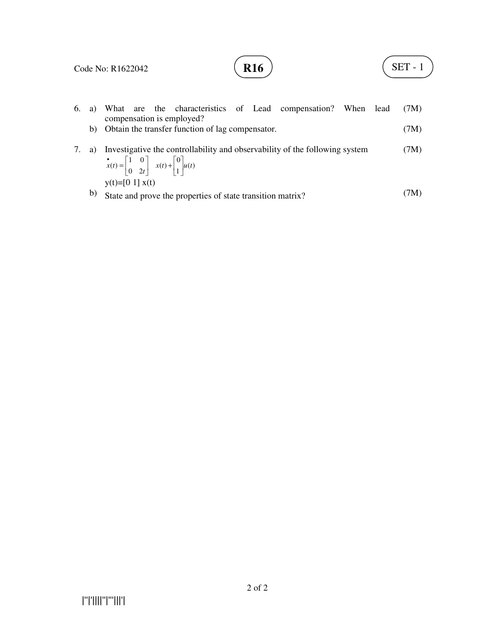## **R16**  $\left( \text{SET - 1} \right)$

|    | 6. a) What are the characteristics of Lead compensation? When lead<br>compensation is employed?                                                                                                       | (7M) |
|----|-------------------------------------------------------------------------------------------------------------------------------------------------------------------------------------------------------|------|
|    | b) Obtain the transfer function of lag compensator.                                                                                                                                                   | (7M) |
| a) | Investigative the controllability and observability of the following system<br>$\mathbf{x}(t) = \begin{vmatrix} 1 & 0 \\ 0 & 2t \end{vmatrix} \quad x(t) + \begin{vmatrix} 0 \\ 1 \end{vmatrix} u(t)$ | (7M) |
| b) | $y(t)= [0 1] x(t)$<br>State and prove the properties of state transition matrix?                                                                                                                      | (7M) |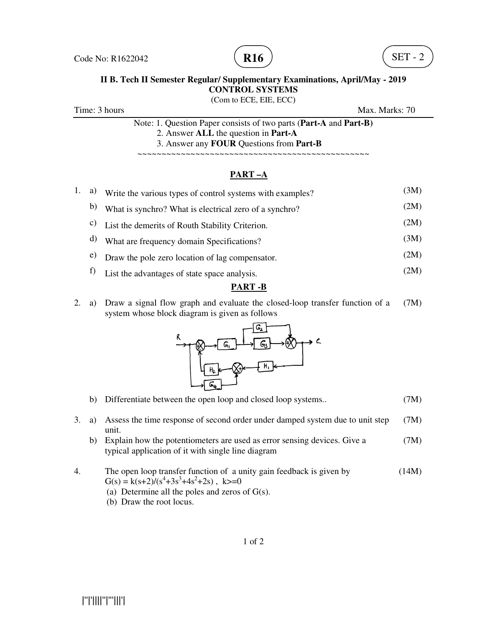

# **II B. Tech II Semester Regular/ Supplementary Examinations, April/May - 2019**<br>CONTROL SYSTEMS

Time: 3 hours

(Com to ECE, EIE, ECC)

Max. Marks: Marks: 70

Note: 1. Question Paper consists of two parts (**Part-A** and **Part--B)** 2. Answer **ALL** the question in **Part-A** 3. Answer any **FOUR** Questions from **Part-B**

~~~~~~~~~~~~~~~~~~~~~~~~~~~~~~~~~~~ ~~~~~~~~~~~~~~~~~~~~~~~~~~~~~~~~~~~

#### **PART –A**

|    |                 | PART-A                                                    |      |
|----|-----------------|-----------------------------------------------------------|------|
| 1. | a)              | Write the various types of control systems with examples? | (3M) |
|    | b)              | What is synchro? What is electrical zero of a synchro?    | (2M) |
|    | $\mathcal{C}$ ) | List the demerits of Routh Stability Criterion.           | (2M) |
|    | d)              | What are frequency domain Specifications?                 | (3M) |
|    | e)              | Draw the pole zero location of lag compensator.           | (2M) |
|    | f)              | List the advantages of state space analysis.              | (2M) |

#### **PART -B**

2. a) Draw a signal flow graph and evaluate the closed-loop transfer function of a (7M) system whose block diagram is given as follows



|  | b) Differentiate between the open loop and closed loop systems |  |  | (7M) |
|--|----------------------------------------------------------------|--|--|------|
|--|----------------------------------------------------------------|--|--|------|

- 3. a) Assess the time response of second order under damped system due to unit step unit. (7M)
	- b) Explain how the potentiometers are used as error sensing devices. Give a  $(7M)$ typical application of it with single line diagram
- 4. The open loop transfer function of a unity gain feedback is given by  $G(s) = k(s+2)/(s^4+3s^3+4s^2+2s)$ , k>=0 (14M)
	- (a) Determine all the poles and zeros of  $G(s)$ .
	- (b) Draw the root locus.

|''|'||||''|'''|||'|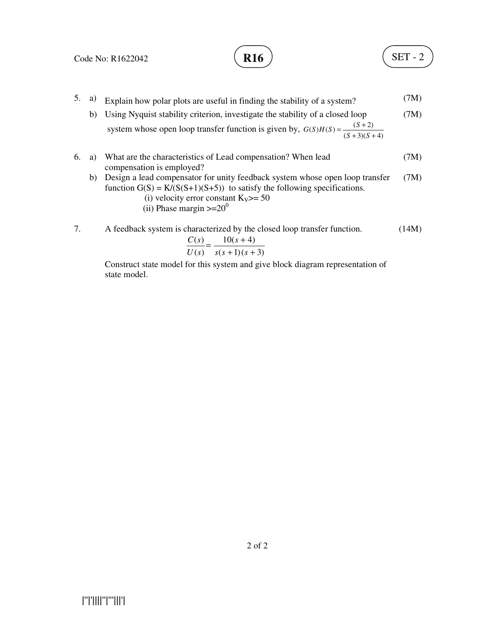$$
\mathbf{R16} \quad \begin{array}{c} \end{array}
$$

- 5. a) Explain how polar plots are useful in finding the stability of a system? (7M)
	- b) Using Nyquist stability criterion, investigate the stability of a closed loop system whose open loop transfer function is given by,  $G(S)H(S) = \frac{(S+2)}{(S+3)(S+4)}$  $(S)H(S) = \frac{(S+2)}{(S+3)(S+4)}$  $=\frac{(S+2)}{(S+3)(S+3)}$  $G(S)H(S) = \frac{S}{S(S)}$ (7M)
- 6. a) What are the characteristics of Lead compensation? When lead compensation is employed? (7M)
	- b) Design a lead compensator for unity feedback system whose open loop transfer function  $G(S) = K/(S(S+1)(S+5))$  to satisfy the following specifications. (7M)
		- (i) velocity error constant  $K_V$  > = 50
		- (ii) Phase margin  $>= 20^0$
- 7. A feedback system is characterized by the closed loop transfer function.  $10(s + 4)$  $C(s)$ (14M)

$$
\frac{C(s)}{U(s)} = \frac{16(s+1)}{s(s+1)(s+3)}
$$

Construct state model for this system and give block diagram representation of state model.

|''|'||||''|'''|||'|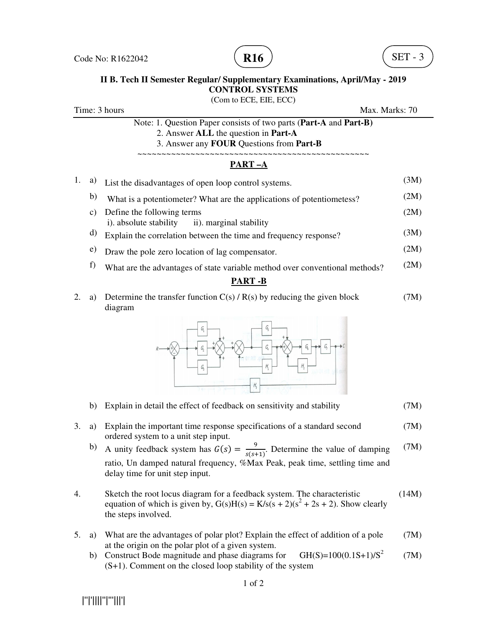

#### **II B. Tech II Semester Regular/ Supplementary Examinations, April/May - 2019 CONTROL SYSTEMS**

(Com to ECE, EIE, ECC) Time: 3 hours Max. Marks: 70 Note: 1. Question Paper consists of two parts (**Part-A** and **Part-B)** 2. Answer **ALL** the question in **Part-A** 3. Answer any **FOUR** Questions from **Part-B** ~~~~~~~~~~~~~~~~~~~~~~~~~~~~~~~~~~~~~~~~~~~~~~~~ **PART –A** 1. a) List the disadvantages of open loop control systems. (3M) b) What is a potentiometer? What are the applications of potentiometess? (2M) c) Define the following terms i). absolute stability ii). marginal stability (2M)  $(d)$  Explain the correlation between the time and frequency response? (3M) e) Draw the pole zero location of lag compensator. (2M) f) What are the advantages of state variable method over conventional methods?  $(2M)$ **PART -B** 2. a) Determine the transfer function  $C(s) / R(s)$  by reducing the given block (7M)

diagram



- b) Explain in detail the effect of feedback on sensitivity and stability (7M)
- 3. a) Explain the important time response specifications of a standard second ordered system to a unit step input. (7M)
- b) A unity feedback system has  $G(s) = \frac{9}{s(s)}$  $\frac{1}{s(s+1)}$ . Determine the value of damping ratio, Un damped natural frequency, %Max Peak, peak time, settling time and delay time for unit step input. (7M)
- 4. Sketch the root locus diagram for a feedback system. The characteristic equation of which is given by,  $G(s)H(s) = K/s(s + 2)(s^2 + 2s + 2)$ . Show clearly the steps involved. (14M)
- 5. a) What are the advantages of polar plot? Explain the effect of addition of a pole at the origin on the polar plot of a given system. (7M)
	- b) Construct Bode magnitude and phase diagrams for  $GH(S)=100(0.1S+1)/S^2$ (S+1). Comment on the closed loop stability of the system (7M)

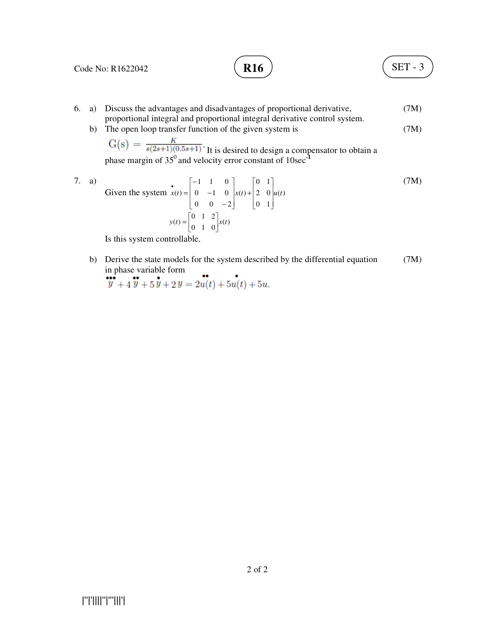Code No: R1622042

### **R16**  $\big)$  (SET - 3

- 6. a) Discuss the advantages and disadvantages of proportional derivative, proportional integral and proportional integral derivative control system. (7M) (7M)
	- b) The open loop transfer function of the given system is

 It is desired to design a compensator to obtain a phase margin of 35<sup>0</sup> and velocity error constant of 10sec<sup>-1</sup>

7. a) Given the system  $x(t) = \begin{vmatrix} 0 & -1 & 0 \end{vmatrix} x(t) + \begin{vmatrix} 2 & 0 \end{vmatrix} u(t)$ 1 0 1 0 2 0  $(t)$  $0 \t 0 \t -2$  $0 \t -1 \t 0$ 1 1 0  $x(t) = \begin{vmatrix} 0 & -1 & 0 \end{vmatrix} x(t) + \begin{vmatrix} 2 & 0 \end{vmatrix} u(t)$  $\overline{\phantom{a}}$  $\overline{\phantom{a}}$  $\overline{\phantom{a}}$  $\overline{\phantom{a}}$ 1 L  $\overline{a}$  $\overline{a}$ L Г +  $\overline{\phantom{a}}$  $\overline{\phantom{a}}$  $\overline{\phantom{a}}$ J 1  $\mathsf{I}$  $\mathbb{I}$  $\mathbf{r}$ L Г − − − •<br> $x(t) =$  $y(t) = \begin{vmatrix} 0 & 1 & 2 \\ 0 & 1 & 0 \end{vmatrix} x(t)$  $\begin{array}{cc} 1 & 2 \\ 1 & 0 \end{array}$  $\begin{array}{cc} 0 & 1 \\ 0 & 1 \end{array}$  $y(t) = \begin{bmatrix} 0 & 1 & 2 \\ 0 & 1 & 0 \end{bmatrix} x(t)$ ٦  $\overline{\phantom{a}}$  $=\begin{bmatrix} 0 & 1 & 2 \\ 0 & 1 & 0 \end{bmatrix} x(t)$ (7M)

Is this system controllable.

b) Derive the state models for the system described by the differential equation (7M) in phase variable form 44

$$
\ddot{y} + 4\ddot{y} + 5\dot{y} + 2y = 2u(t) + 5u(t) + 5u.
$$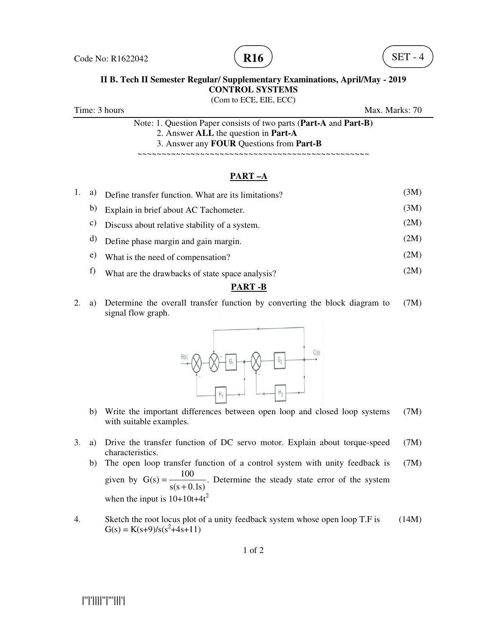



## **II B. Tech II Semester Regular/ Supplementary Examinations, April/May - 2019**<br>CONTROL SYSTEMS (Com to ECE, EIE, ECC)

Time: 3 hours

Max. Marks: 70

Note: 1. Question Paper consists of two parts (**Part-A** and **Part--B)** 2. Answer **ALL** the question in **Part-A** 3. Answer any **FOUR** Questions from **Part-B**

~~~~~~~~~~~~~~~~~~~~~~~~~~~~~~~~~~ ~~~~~~~~~~~~~~~~~~~~~~~~~~~~~~~~~~~

#### **PART –A**

|         |    | PART-A                                              |      |
|---------|----|-----------------------------------------------------|------|
| $1_{-}$ | a) | Define transfer function. What are its limitations? | (3M) |
|         | b) | Explain in brief about AC Tachometer.               | (3M) |
|         | C) | Discuss about relative stability of a system.       | (2M) |
|         | d) | Define phase margin and gain margin.                | (2M) |
|         | e) | What is the need of compensation?                   | (2M) |
|         | f) | What are the drawbacks of state space analysis?     | (2M) |
|         |    | <b>DIDE D</b>                                       |      |

#### **PART -B**

2. a) Determine the overall transfer function by converting the block diagram to signal flow graph. (7M)



- b) Write the important differences between open loop and closed loop systems (7M) with suitable examples.
- 3. a) Drive the transfer function of DC servo motor. Explain about torque-speed (7M) characteristics.
	- b) The open loop transfer function of a control system with unity feedback is given by  $s(s + 0)$  $G(s) = \frac{100}{s}$ + = when the input is  $10+10t+4t^2$  $\cdot$ 1s) ction of a control system with unity feedback is (7M)<br>
	. Determine the steady state error of the system
- 4. Sketch the root locus plot of a unity feedback system whose open loop T.F is  $G(s) = K(s+9)/s(s^2+4s+11)$ <br>1 of 2  $G(s) = K(s+9)/s(s^2+4s+11)$ (14M)